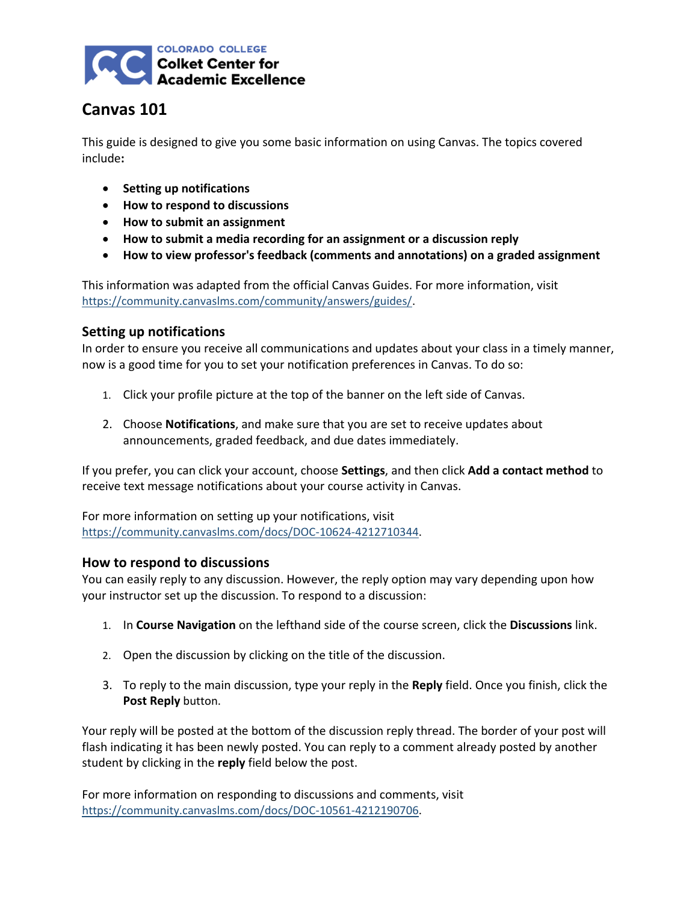

# **Canvas 101**

This guide is designed to give you some basic information on using Canvas. The topics covered include**:**

- **•** Setting up notifications
- **How to respond to discussions**
- **How to submit an assignment**
- **How to submit a media recording for an assignment or a discussion reply**
- **How to view professor's feedback (comments and annotations) on a graded assignment**

This information was adapted from the official Canvas Guides. For more information, visit [https://community.canvaslms.com/community/answers/guides/.](https://community.canvaslms.com/community/answers/guides/)

## **Setting up notifications**

In order to ensure you receive all communications and updates about your class in a timely manner, now is a good time for you to set your notification preferences in Canvas. To do so:

- 1. Click your profile picture at the top of the banner on the left side of Canvas.
- 2. Choose **Notifications**, and make sure that you are set to receive updates about announcements, graded feedback, and due dates immediately.

If you prefer, you can click your account, choose **Settings**, and then click **Add a contact method** to receive text message notifications about your course activity in Canvas.

For more information on setting up your notifications, visit [https://community.canvaslms.com/docs/DOC-10624-4212710344.](https://community.canvaslms.com/docs/DOC-10624-4212710344)

#### **How to respond to discussions**

You can easily reply to any discussion. However, the reply option may vary depending upon how your instructor set up the discussion. To respond to a discussion:

- 1. In **Course Navigation** on the lefthand side of the course screen, click the **Discussions** link.
- 2. Open the discussion by clicking on the title of the discussion.
- 3. To reply to the main discussion, type your reply in the **Reply** field. Once you finish, click the **Post Reply** button.

Your reply will be posted at the bottom of the discussion reply thread. The border of your post will flash indicating it has been newly posted. You can reply to a comment already posted by another student by clicking in the **reply** field below the post.

For more information on responding to discussions and comments, visit [https://community.canvaslms.com/docs/DOC-10561-4212190706.](https://community.canvaslms.com/docs/DOC-10561-4212190706)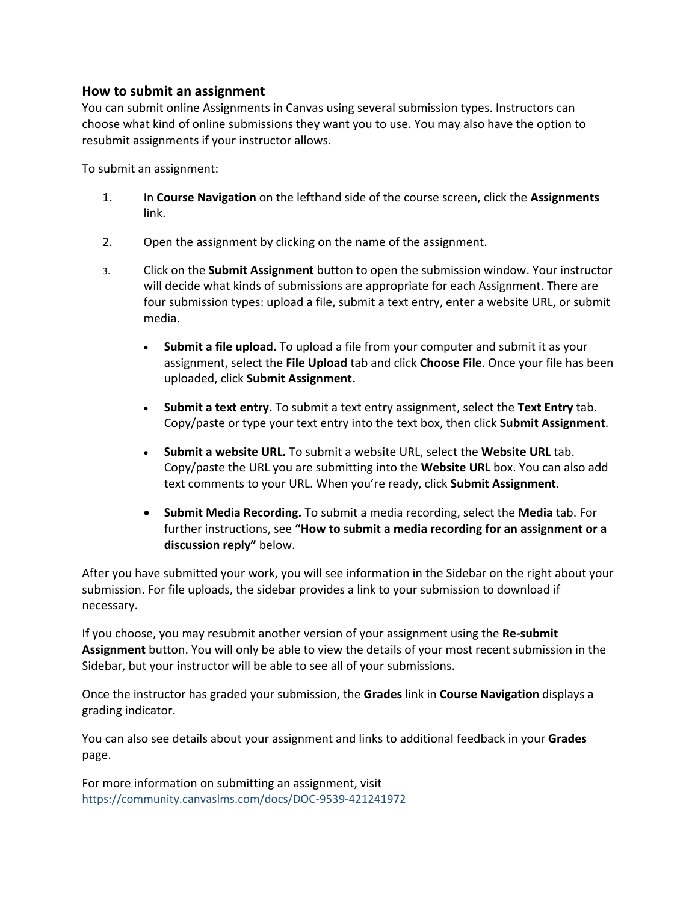#### **How to submit an assignment**

You can submit online Assignments in Canvas using several submission types. Instructors can choose what kind of online submissions they want you to use. You may also have the option to resubmit assignments if your instructor allows.

To submit an assignment:

- 1. In **Course Navigation** on the lefthand side of the course screen, click the **Assignments** link.
- 2. Open the assignment by clicking on the name of the assignment.
- 3. Click on the **Submit Assignment** button to open the submission window. Your instructor will decide what kinds of submissions are appropriate for each Assignment. There are four submission types: upload a file, submit a text entry, enter a website URL, or submit media.
	- **Submit a file upload.** To upload a file from your computer and submit it as your assignment, select the **File Upload** tab and click **Choose File**. Once your file has been uploaded, click **Submit Assignment.**
	- **Submit a text entry.** To submit a text entry assignment, select the **Text Entry** tab. Copy/paste or type your text entry into the text box, then click **Submit Assignment**.
	- **Submit a website URL.** To submit a website URL, select the **Website URL** tab. Copy/paste the URL you are submitting into the **Website URL** box. You can also add text comments to your URL. When you're ready, click **Submit Assignment**.
	- **Submit Media Recording.** To submit a media recording, select the **Media** tab. For further instructions, see **"How to submit a media recording for an assignment or a discussion reply"** below.

After you have submitted your work, you will see information in the Sidebar on the right about your submission. For file uploads, the sidebar provides a link to your submission to download if necessary.

If you choose, you may resubmit another version of your assignment using the **Re-submit Assignment** button. You will only be able to view the details of your most recent submission in the Sidebar, but your instructor will be able to see all of your submissions.

Once the instructor has graded your submission, the **Grades** link in **Course Navigation** displays a grading indicator.

You can also see details about your assignment and links to additional feedback in your **Grades** page.

For more information on submitting an assignment, visit <https://community.canvaslms.com/docs/DOC-9539-421241972>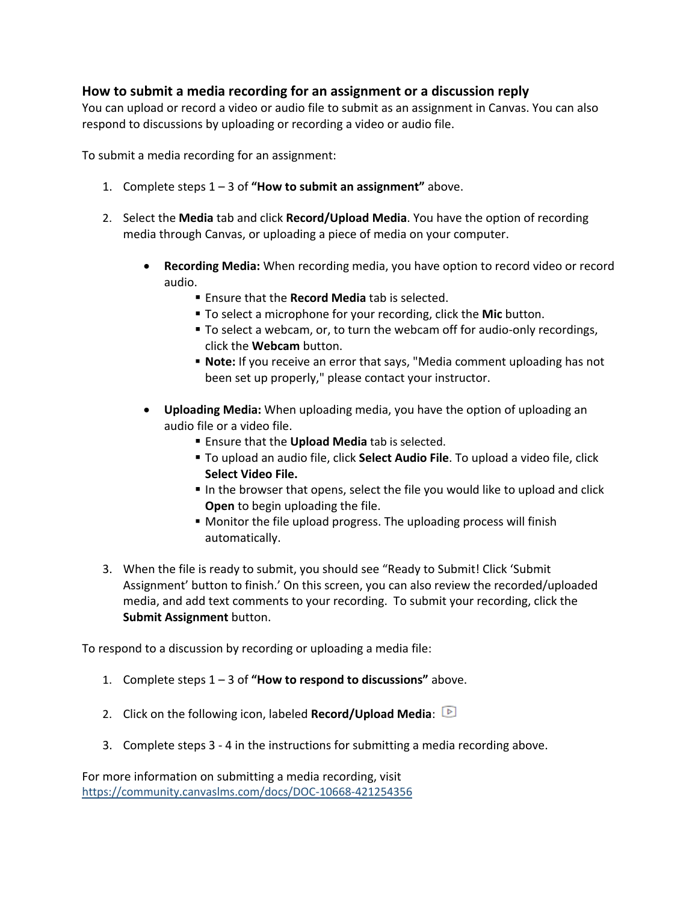## **How to submit a media recording for an assignment or a discussion reply**

You can upload or record a video or audio file to submit as an assignment in Canvas. You can also respond to discussions by uploading or recording a video or audio file.

To submit a media recording for an assignment:

- 1. Complete steps 1 3 of **"How to submit an assignment"** above.
- 2. Select the **Media** tab and click **Record/Upload Media**. You have the option of recording media through Canvas, or uploading a piece of media on your computer.
	- **Recording Media:** When recording media, you have option to record video or record audio.
		- Ensure that the **Record Media** tab is selected.
		- To select a microphone for your recording, click the **Mic** button.
		- To select a webcam, or, to turn the webcam off for audio-only recordings, click the **Webcam** button.
		- **Note:** If you receive an error that says, "Media comment uploading has not been set up properly," please contact your instructor.
	- **Uploading Media:** When uploading media, you have the option of uploading an audio file or a video file.
		- Ensure that the **Upload Media** tab is selected.
		- To upload an audio file, click **Select Audio File**. To upload a video file, click **Select Video File.**
		- In the browser that opens, select the file you would like to upload and click **Open** to begin uploading the file.
		- Monitor the file upload progress. The uploading process will finish automatically.
- 3. When the file is ready to submit, you should see "Ready to Submit! Click 'Submit Assignment' button to finish.' On this screen, you can also review the recorded/uploaded media, and add text comments to your recording. To submit your recording, click the **Submit Assignment** button.

To respond to a discussion by recording or uploading a media file:

- 1. Complete steps 1 3 of **"How to respond to discussions"** above.
- 2. Click on the following icon, labeled **Record/Upload Media**:
- 3. Complete steps 3 4 in the instructions for submitting a media recording above.

For more information on submitting a media recording, visit <https://community.canvaslms.com/docs/DOC-10668-421254356>